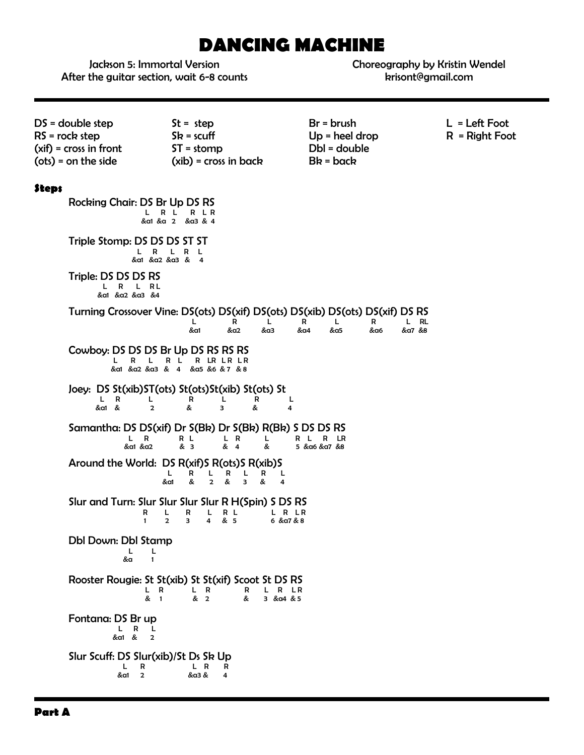# **DANCING MACHINE**

Jackson 5: Immortal Version After the guitar section, wait 6-8 counts Choreography by Kristin Wendel krisont@gmail.com

| $DS = double step$<br>$RS = rock step$<br>$(xif) = cross in front$                                                                                                     | $St = step$<br>$Sk = scuff$<br>$ST = stomp$                                                                                                         | $Br = brush$<br>$Up = heel drop$<br>Dbl = double   | $L = \text{Left}$ Foot<br>$R = Right Foot$ |
|------------------------------------------------------------------------------------------------------------------------------------------------------------------------|-----------------------------------------------------------------------------------------------------------------------------------------------------|----------------------------------------------------|--------------------------------------------|
| $(ots) = on the side$                                                                                                                                                  | $(xib)$ = cross in back                                                                                                                             | $Bk = back$                                        |                                            |
| <b>Steps</b><br>Rocking Chair: DS Br Up DS RS                                                                                                                          |                                                                                                                                                     |                                                    |                                            |
|                                                                                                                                                                        | L R L<br>R LR<br>&a1 &a 2 &a3 & 4                                                                                                                   |                                                    |                                            |
| Triple Stomp: DS DS DS ST ST<br>$\mathbf R$<br>L.                                                                                                                      | L R L<br>&a1 &a2 &a3 & 4                                                                                                                            |                                                    |                                            |
| Triple: DS DS DS RS<br>L R L RL<br>&α1 &α2 &α3 &4                                                                                                                      |                                                                                                                                                     |                                                    |                                            |
|                                                                                                                                                                        | Turning Crossover Vine: DS(ots) DS(xif) DS(ots) DS(xib) DS(ots) DS(xif) DS RS<br>L<br>R<br>L<br>&a1<br>&a2<br>&a3                                   | L RL<br>R<br>L<br>R<br>&a4<br>&a5<br>&a6<br>&a7 &8 |                                            |
| Cowboy: DS DS DS Br Up DS RS RS RS<br>L<br>R                                                                                                                           | R L<br>R LR LR LR<br>&a1 &a2 &a3 & 4 &a5 &6 &7 &8                                                                                                   |                                                    |                                            |
| L R<br>L.<br>&a1 &<br>$\overline{2}$                                                                                                                                   | Joey: DS St(xib)ST(ots) St(ots)St(xib) St(ots) St<br>R<br>L<br>R<br>L<br>&<br>3<br>&<br>4                                                           |                                                    |                                            |
| Samantha: DS DS(xif) Dr S(Bk) Dr S(Bk) R(Bk) S DS DS RS<br>R L<br>L.<br>$\overline{R}$<br>L R<br>L<br>R L<br>LR.<br>R<br>& 3<br>& 4<br>&a1 &a2<br>&<br>5 & α6 & α7 & 8 |                                                                                                                                                     |                                                    |                                            |
|                                                                                                                                                                        | Around the World: DS R(xif)S R(ots)S R(xib)S<br>L<br>R<br>R<br>R<br>L<br>L<br>L<br>&<br>$\overline{2}$<br>&<br>&a1<br>&<br>3<br>4                   |                                                    |                                            |
| R<br>$\mathbf{1}$                                                                                                                                                      | Slur and Turn: Slur Slur Slur Slur R H(Spin) S DS RS<br>R<br>L<br>L.<br>R L<br>L R LR<br>& 5<br>$\overline{2}$<br>3<br>$\overline{4}$<br>6 & a7 & 8 |                                                    |                                            |
| Dbl Down: Dbl Stamp<br>L.<br>L<br>&a<br>$\mathbf{1}$                                                                                                                   |                                                                                                                                                     |                                                    |                                            |
| L R<br>& 1                                                                                                                                                             | Rooster Rougie: St St(xib) St St(xif) Scoot St DS RS<br>L R<br>L R LR<br>R<br>& 2<br>&<br>3 & a4 & 5                                                |                                                    |                                            |
| Fontana: DS Br up<br>L R<br>L<br>$\overline{2}$<br>&a1 &                                                                                                               |                                                                                                                                                     |                                                    |                                            |
| Slur Scuff: DS Slur(xib)/St Ds Sk Up<br>L<br>R<br>&a1<br>$\overline{2}$                                                                                                | L R<br>R<br>&a3 &<br>4                                                                                                                              |                                                    |                                            |